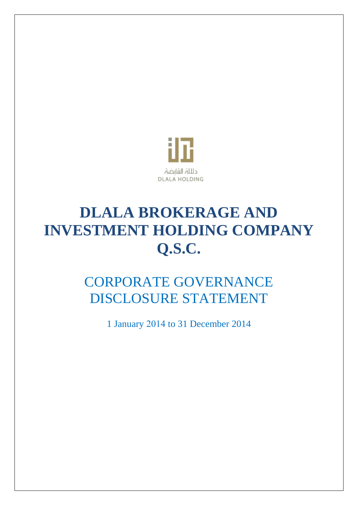

# **DLALA BROKERAGE AND INVESTMENT HOLDING COMPANY Q.S.C.**

# CORPORATE GOVERNANCE DISCLOSURE STATEMENT

1 January 4102 to 31 December 2014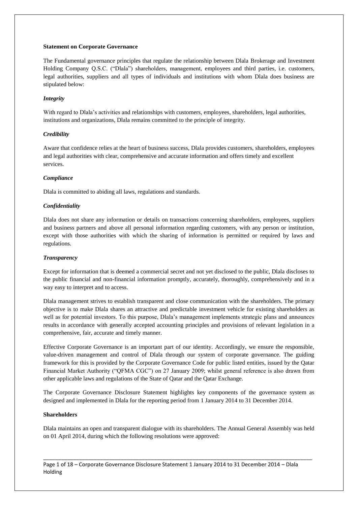#### **Statement on Corporate Governance**

The Fundamental governance principles that regulate the relationship between Dlala Brokerage and Investment Holding Company Q.S.C. ("Dlala") shareholders, management, employees and third parties, i.e. customers, legal authorities, suppliers and all types of individuals and institutions with whom Dlala does business are stipulated below:

#### *Integrity*

With regard to Dlala's activities and relationships with customers, employees, shareholders, legal authorities, institutions and organizations, Dlala remains committed to the principle of integrity.

#### *Credibility*

Aware that confidence relies at the heart of business success, Dlala provides customers, shareholders, employees and legal authorities with clear, comprehensive and accurate information and offers timely and excellent services.

#### *Compliance*

Dlala is committed to abiding all laws, regulations and standards.

#### *Confidentiality*

Dlala does not share any information or details on transactions concerning shareholders, employees, suppliers and business partners and above all personal information regarding customers, with any person or institution, except with those authorities with which the sharing of information is permitted or required by laws and regulations.

#### *Transparency*

Except for information that is deemed a commercial secret and not yet disclosed to the public, Dlala discloses to the public financial and non-financial information promptly, accurately, thoroughly, comprehensively and in a way easy to interpret and to access.

Dlala management strives to establish transparent and close communication with the shareholders. The primary objective is to make Dlala shares an attractive and predictable investment vehicle for existing shareholders as well as for potential investors. To this purpose, Dlala's management implements strategic plans and announces results in accordance with generally accepted accounting principles and provisions of relevant legislation in a comprehensive, fair, accurate and timely manner.

Effective Corporate Governance is an important part of our identity. Accordingly, we ensure the responsible, value-driven management and control of Dlala through our system of corporate governance. The guiding framework for this is provided by the Corporate Governance Code for public listed entities, issued by the Qatar Financial Market Authority ("QFMA CGC") on 27 January 2009; whilst general reference is also drawn from other applicable laws and regulations of the State of Qatar and the Qatar Exchange.

The Corporate Governance Disclosure Statement highlights key components of the governance system as designed and implemented in Dlala for the reporting period from 1 January 2014 to 31 December 2014.

#### **Shareholders**

Dlala maintains an open and transparent dialogue with its shareholders. The Annual General Assembly was held on 01 April 2014, during which the following resolutions were approved:

\_\_\_\_\_\_\_\_\_\_\_\_\_\_\_\_\_\_\_\_\_\_\_\_\_\_\_\_\_\_\_\_\_\_\_\_\_\_\_\_\_\_\_\_\_\_\_\_\_\_\_\_\_\_\_\_\_\_\_\_\_\_\_\_\_\_\_\_\_\_\_\_\_\_\_\_\_\_\_\_\_\_\_\_\_\_\_\_\_\_

Page 1 of 18 – Corporate Governance Disclosure Statement 1 January 2014 to 31 December 2014 – Dlala Holding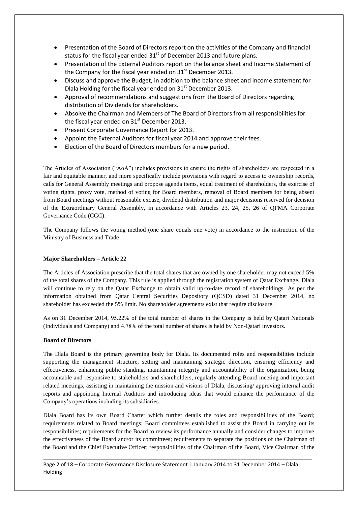- Presentation of the Board of Directors report on the activities of the Company and financial status for the fiscal year ended  $31<sup>st</sup>$  of December 2013 and future plans.
- Presentation of the External Auditors report on the balance sheet and Income Statement of the Company for the fiscal year ended on  $31<sup>st</sup>$  December 2013.
- Discuss and approve the Budget, in addition to the balance sheet and income statement for Dlala Holding for the fiscal year ended on 31<sup>st</sup> December 2013.
- Approval of recommendations and suggestions from the Board of Directors regarding distribution of Dividends for shareholders.
- Absolve the Chairman and Members of The Board of Directors from all responsibilities for the fiscal year ended on  $31<sup>st</sup>$  December 2013.
- Present Corporate Governance Report for 2013.
- Appoint the External Auditors for fiscal year 2014 and approve their fees.
- Election of the Board of Directors members for a new period.

The Articles of Association ("AoA") includes provisions to ensure the rights of shareholders are respected in a fair and equitable manner, and more specifically include provisions with regard to access to ownership records, calls for General Assembly meetings and propose agenda items, equal treatment of shareholders, the exercise of voting rights, proxy vote, method of voting for Board members, removal of Board members for being absent from Board meetings without reasonable excuse, dividend distribution and major decisions reserved for decision of the Extraordinary General Assembly, in accordance with Articles 23, 24, 25, 26 of QFMA Corporate Governance Code (CGC).

The Company follows the voting method (one share equals one vote) in accordance to the instruction of the Ministry of Business and Trade

# **Major Shareholders – Article 22**

The Articles of Association prescribe that the total shares that are owned by one shareholder may not exceed 5% of the total shares of the Company. This rule is applied through the registration system of Qatar Exchange. Dlala will continue to rely on the Qatar Exchange to obtain valid up-to-date record of shareholdings. As per the information obtained from Qatar Central Securities Depository (QCSD) dated 31 December 2014, no shareholder has exceeded the 5% limit. No shareholder agreements exist that require disclosure.

As on 31 December 2014, 95.22% of the total number of shares in the Company is held by Qatari Nationals (Individuals and Company) and 2.74% of the total number of shares is held by Non-Qatari investors.

#### **Board of Directors**

The Dlala Board is the primary governing body for Dlala. Its documented roles and responsibilities include supporting the management structure, setting and maintaining strategic direction, ensuring efficiency and effectiveness, enhancing public standing, maintaining integrity and accountability of the organization, being accountable and responsive to stakeholders and shareholders, regularly attending Board meeting and important related meetings, assisting in maintaining the mission and visions of Dlala, discussing/ approving internal audit reports and appointing Internal Auditors and introducing ideas that would enhance the performance of the Company's operations including its subsidiaries.

Dlala Board has its own Board Charter which further details the roles and responsibilities of the Board; requirements related to Board meetings; Board committees established to assist the Board in carrying out its responsibilities; requirements for the Board to review its performance annually and consider changes to improve the effectiveness of the Board and/or its committees; requirements to separate the positions of the Chairman of the Board and the Chief Executive Officer; responsibilities of the Chairman of the Board, Vice Chairman of the

\_\_\_\_\_\_\_\_\_\_\_\_\_\_\_\_\_\_\_\_\_\_\_\_\_\_\_\_\_\_\_\_\_\_\_\_\_\_\_\_\_\_\_\_\_\_\_\_\_\_\_\_\_\_\_\_\_\_\_\_\_\_\_\_\_\_\_\_\_\_\_\_\_\_\_\_\_\_\_\_\_\_\_\_\_\_\_\_\_\_

# Page 2 of 18 – Corporate Governance Disclosure Statement 1 January 2014 to 31 December 2014 – Dlala Holding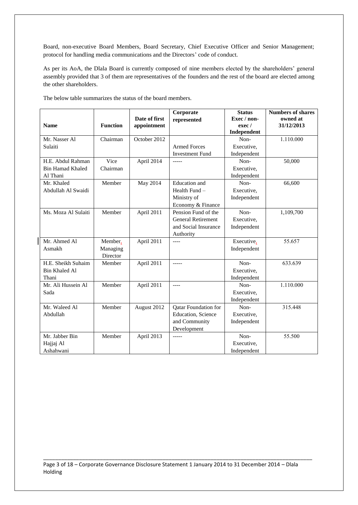Board, non-executive Board Members, Board Secretary, Chief Executive Officer and Senior Management; protocol for handling media communications and the Directors' code of conduct.

As per its AoA, the Dlala Board is currently composed of nine members elected by the shareholders' general assembly provided that 3 of them are representatives of the founders and the rest of the board are elected among the other shareholders.

|                               |                 |                              | Corporate                 | <b>Status</b>         | <b>Numbers of shares</b> |
|-------------------------------|-----------------|------------------------------|---------------------------|-----------------------|--------------------------|
| <b>Name</b>                   | <b>Function</b> | Date of first<br>appointment | represented               | Exec / non-<br>exec / | owned at<br>31/12/2013   |
|                               |                 |                              |                           | Independent           |                          |
| Mr. Nasser Al                 | Chairman        | October 2012                 |                           | Non-                  | 1.110.000                |
| Sulaiti                       |                 |                              | <b>Armed Forces</b>       | Executive,            |                          |
|                               |                 |                              | <b>Investment Fund</b>    | Independent           |                          |
| H.E. Abdul Rahman             | Vice            | April 2014                   | $--- -$                   | Non-                  | 50,000                   |
| <b>Bin Hamad Khaled</b>       | Chairman        |                              |                           | Executive,            |                          |
| Al Thani                      |                 |                              |                           | Independent           |                          |
| Mr. Khaled                    | Member          | May 2014                     | Education and             | Non-                  | 66,600                   |
| Abdullah Al Swaidi            |                 |                              | Health Fund -             | Executive,            |                          |
|                               |                 |                              | Ministry of               | Independent           |                          |
|                               |                 |                              | Economy & Finance         |                       |                          |
| Ms. Moza Al Sulaiti           | Member          | April 2011                   | Pension Fund of the       | Non-                  | 1,109,700                |
|                               |                 |                              | <b>General Retirement</b> | Executive,            |                          |
|                               |                 |                              | and Social Insurance      | Independent           |                          |
|                               |                 |                              | Authority                 |                       |                          |
| Mr. Ahmed Al                  | Member,         | April 2011                   | $---$                     | Executive,            | 55.657                   |
| Asmakh                        | Managing        |                              |                           | Independent           |                          |
|                               | Director        |                              |                           |                       |                          |
| H.E. Sheikh Suhaim            | Member          | April 2011                   | $--- -$                   | Non-                  | 633.639                  |
| <b>Bin Khaled Al</b><br>Thani |                 |                              |                           | Executive,            |                          |
|                               |                 |                              |                           | Independent<br>Non-   |                          |
| Mr. Ali Hussein Al<br>Sada    | Member          | April 2011                   | $---$                     | Executive,            | 1.110.000                |
|                               |                 |                              |                           | Independent           |                          |
| Mr. Waleed Al                 | Member          | August 2012                  | Qatar Foundation for      | Non-                  | 315.448                  |
| Abdullah                      |                 |                              | Education, Science        | Executive,            |                          |
|                               |                 |                              | and Community             | Independent           |                          |
|                               |                 |                              | Development               |                       |                          |
| Mr. Jabber Bin                | Member          | April 2013                   | $--- -$                   | Non-                  | 55.500                   |
| Hajjaj Al                     |                 |                              |                           | Executive,            |                          |
| Ashahwani                     |                 |                              |                           | Independent           |                          |

The below table summarizes the status of the board members.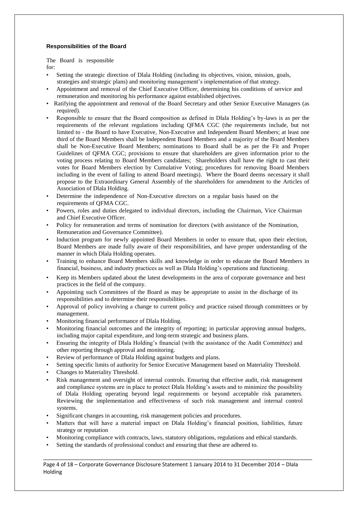# **Responsibilities of the Board**

The Board is responsible for:

- Setting the strategic direction of Dlala Holding (including its objectives, vision, mission, goals, strategies and strategic plans) and monitoring management's implementation of that strategy.
- Appointment and removal of the Chief Executive Officer, determining his conditions of service and remuneration and monitoring his performance against established objectives.
- Ratifying the appointment and removal of the Board Secretary and other Senior Executive Managers (as required).
- Responsible to ensure that the Board composition as defined in Dlala Holding's by-laws is as per the requirements of the relevant regulations including QFMA CGC (the requirements include, but not limited to - the Board to have Executive, Non-Executive and Independent Board Members; at least one third of the Board Members shall be Independent Board Members and a majority of the Board Members shall be Non-Executive Board Members; nominations to Board shall be as per the Fit and Proper Guidelines of QFMA CGC; provisions to ensure that shareholders are given information prior to the voting process relating to Board Members candidates; Shareholders shall have the right to cast their votes for Board Members election by Cumulative Voting; procedures for removing Board Members including in the event of failing to attend Board meetings). Where the Board deems necessary it shall propose to the Extraordinary General Assembly of the shareholders for amendment to the Articles of Association of Dlala Holding.
- Determine the independence of Non-Executive directors on a regular basis based on the requirements of QFMA CGC.
- Powers, roles and duties delegated to individual directors, including the Chairman, Vice Chairman and Chief Executive Officer.
- Policy for remuneration and terms of nomination for directors (with assistance of the Nomination, Remuneration and Governance Committee).
- Induction program for newly appointed Board Members in order to ensure that, upon their election, Board Members are made fully aware of their responsibilities, and have proper understanding of the manner in which Dlala Holding operates.
- Training to enhance Board Members skills and knowledge in order to educate the Board Members in financial, business, and industry practices as well as Dlala Holding's operations and functioning.
- Keep its Members updated about the latest developments in the area of corporate governance and best practices in the field of the company.
- Appointing such Committees of the Board as may be appropriate to assist in the discharge of its responsibilities and to determine their responsibilities.
- Approval of policy involving a change to current policy and practice raised through committees or by management.
- Monitoring financial performance of Dlala Holding.
- Monitoring financial outcomes and the integrity of reporting; in particular approving annual budgets, including major capital expenditure, and long-term strategic and business plans.
- Ensuring the integrity of Dlala Holding's financial (with the assistance of the Audit Committee) and other reporting through approval and monitoring.
- Review of performance of Dlala Holding against budgets and plans.
- Setting specific limits of authority for Senior Executive Management based on Materiality Threshold.
- Changes to Materiality Threshold.
- Risk management and oversight of internal controls. Ensuring that effective audit, risk management and compliance systems are in place to protect Dlala Holding's assets and to minimize the possibility of Dlala Holding operating beyond legal requirements or beyond acceptable risk parameters. Reviewing the implementation and effectiveness of such risk management and internal control systems.
- Significant changes in accounting, risk management policies and procedures.
- Matters that will have a material impact on Dlala Holding's financial position, liabilities, future strategy or reputation
- Monitoring compliance with contracts, laws, statutory obligations, regulations and ethical standards.
- Setting the standards of professional conduct and ensuring that these are adhered to.

\_\_\_\_\_\_\_\_\_\_\_\_\_\_\_\_\_\_\_\_\_\_\_\_\_\_\_\_\_\_\_\_\_\_\_\_\_\_\_\_\_\_\_\_\_\_\_\_\_\_\_\_\_\_\_\_\_\_\_\_\_\_\_\_\_\_\_\_\_\_\_\_\_\_\_\_\_\_\_\_\_\_\_\_\_\_\_\_\_\_ Page 4 of 18 – Corporate Governance Disclosure Statement 1 January 2014 to 31 December 2014 – Dlala Holding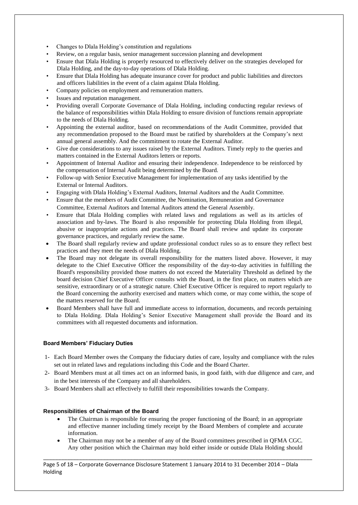- Changes to Dlala Holding's constitution and regulations
- Review, on a regular basis, senior management succession planning and development
- Ensure that Dlala Holding is properly resourced to effectively deliver on the strategies developed for Dlala Holding, and the day-to-day operations of Dlala Holding.
- Ensure that Dlala Holding has adequate insurance cover for product and public liabilities and directors and officers liabilities in the event of a claim against Dlala Holding.
- Company policies on employment and remuneration matters.
- Issues and reputation management.
- Providing overall Corporate Governance of Dlala Holding, including conducting regular reviews of the balance of responsibilities within Dlala Holding to ensure division of functions remain appropriate to the needs of Dlala Holding.
- Appointing the external auditor, based on recommendations of the Audit Committee, provided that any recommendation proposed to the Board must be ratified by shareholders at the Company's next annual general assembly. And the commitment to rotate the External Auditor.
- Give due considerations to any issues raised by the External Auditors. Timely reply to the queries and matters contained in the External Auditors letters or reports.
- Appointment of Internal Auditor and ensuring their independence. Independence to be reinforced by the compensation of Internal Audit being determined by the Board.
- Follow-up with Senior Executive Management for implementation of any tasks identified by the External or Internal Auditors.
- Engaging with Dlala Holding's External Auditors, Internal Auditors and the Audit Committee.
- Ensure that the members of Audit Committee, the Nomination, Remuneration and Governance Committee, External Auditors and Internal Auditors attend the General Assembly.
- Ensure that Dlala Holding complies with related laws and regulations as well as its articles of association and by-laws. The Board is also responsible for protecting Dlala Holding from illegal, abusive or inappropriate actions and practices. The Board shall review and update its corporate governance practices, and regularly review the same.
- The Board shall regularly review and update professional conduct rules so as to ensure they reflect best practices and they meet the needs of Dlala Holding.
- The Board may not delegate its overall responsibility for the matters listed above. However, it may delegate to the Chief Executive Officer the responsibility of the day-to-day activities in fulfilling the Board's responsibility provided those matters do not exceed the Materiality Threshold as defined by the board decision Chief Executive Officer consults with the Board, in the first place, on matters which are sensitive, extraordinary or of a strategic nature. Chief Executive Officer is required to report regularly to the Board concerning the authority exercised and matters which come, or may come within, the scope of the matters reserved for the Board.
- Board Members shall have full and immediate access to information, documents, and records pertaining to Dlala Holding. Dlala Holding's Senior Executive Management shall provide the Board and its committees with all requested documents and information.

#### **Board Members' Fiduciary Duties**

- 1- Each Board Member owes the Company the fiduciary duties of care, loyalty and compliance with the rules set out in related laws and regulations including this Code and the Board Charter.
- 2- Board Members must at all times act on an informed basis, in good faith, with due diligence and care, and in the best interests of the Company and all shareholders.
- 3- Board Members shall act effectively to fulfill their responsibilities towards the Company.

#### **Responsibilities of Chairman of the Board**

- The Chairman is responsible for ensuring the proper functioning of the Board; in an appropriate and effective manner including timely receipt by the Board Members of complete and accurate information.
- The Chairman may not be a member of any of the Board committees prescribed in QFMA CGC. Any other position which the Chairman may hold either inside or outside Dlala Holding should

\_\_\_\_\_\_\_\_\_\_\_\_\_\_\_\_\_\_\_\_\_\_\_\_\_\_\_\_\_\_\_\_\_\_\_\_\_\_\_\_\_\_\_\_\_\_\_\_\_\_\_\_\_\_\_\_\_\_\_\_\_\_\_\_\_\_\_\_\_\_\_\_\_\_\_\_\_\_\_\_\_\_\_\_\_\_\_\_\_\_

Page 5 of 18 – Corporate Governance Disclosure Statement 1 January 2014 to 31 December 2014 – Dlala Holding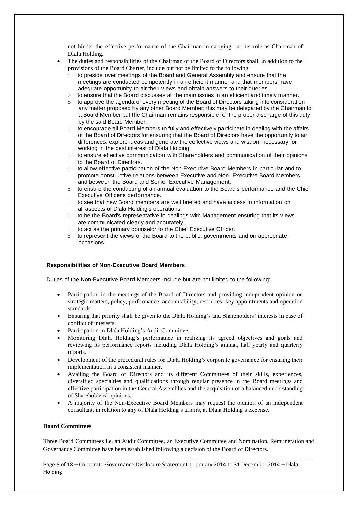not hinder the effective performance of the Chairman in carrying out his role as Chairman of Dlala Holding.

- The duties and responsibilities of the Chairman of the Board of Directors shall, in addition to the provisions of the Board Charter, include but not be limited to the following:
	- $\circ$  to preside over meetings of the Board and General Assembly and ensure that the meetings are conducted competently in an efficient manner and that members have adequate opportunity to air their views and obtain answers to their queries.
	- $\circ$  to ensure that the Board discusses all the main issues in an efficient and timely manner.
	- o to approve the agenda of every meeting of the Board of Directors taking into consideration any matter proposed by any other Board Member; this may be delegated by the Chairman to a Board Member but the Chairman remains responsible for the proper discharge of this duty by the said Board Member.
	- $\circ$  to encourage all Board Members to fully and effectively participate in dealing with the affairs of the Board of Directors for ensuring that the Board of Directors have the opportunity to air differences, explore ideas and generate the collective views and wisdom necessary for working in the best interest of Dlala Holding.
	- $\circ$  to ensure effective communication with Shareholders and communication of their opinions to the Board of Directors.
	- $\circ$  to allow effective participation of the Non-Executive Board Members in particular and to promote constructive relations between Executive and Non- Executive Board Members and between the Board and Senior Executive Management.
	- $\circ$  to ensure the conducting of an annual evaluation to the Board's performance and the Chief Executive Officer's performance.
	- $\circ$  to see that new Board members are well briefed and have access to information on all aspects of Dlala Holding's operations.
	- $\circ$  to be the Board's representative in dealings with Management ensuring that its views are communicated clearly and accurately.
	- o to act as the primary counselor to the Chief Executive Officer.
	- o to represent the views of the Board to the public, governments and on appropriate occasions.

#### **Responsibilities of Non-Executive Board Members**

Duties of the Non-Executive Board Members include but are not limited to the following:

- Participation in the meetings of the Board of Directors and providing independent opinion on strategic matters, policy, performance, accountability, resources, key appointments and operation standards.
- Ensuring that priority shall be given to the Dlala Holding's and Shareholders' interests in case of conflict of interests.
- Participation in Dlala Holding's Audit Committee.
- Monitoring Dlala Holding's performance in realizing its agreed objectives and goals and reviewing its performance reports including Dlala Holding's annual, half yearly and quarterly reports.
- Development of the procedural rules for Dlala Holding's corporate governance for ensuring their implementation in a consistent manner.
- Availing the Board of Directors and its different Committees of their skills, experiences, diversified specialties and qualifications through regular presence in the Board meetings and effective participation in the General Assemblies and the acquisition of a balanced understanding of Shareholders' opinions.
- A majority of the Non-Executive Board Members may request the opinion of an independent consultant, in relation to any of Dlala Holding's affairs, at Dlala Holding's expense.

#### **Board Committees**

Three Board Committees i.e. an Audit Committee, an Executive Committee and Nomination, Remuneration and Governance Committee have been established following a decision of the Board of Directors.

\_\_\_\_\_\_\_\_\_\_\_\_\_\_\_\_\_\_\_\_\_\_\_\_\_\_\_\_\_\_\_\_\_\_\_\_\_\_\_\_\_\_\_\_\_\_\_\_\_\_\_\_\_\_\_\_\_\_\_\_\_\_\_\_\_\_\_\_\_\_\_\_\_\_\_\_\_\_\_\_\_\_\_\_\_\_\_\_\_\_

Page 6 of 18 – Corporate Governance Disclosure Statement 1 January 2014 to 31 December 2014 – Dlala Holding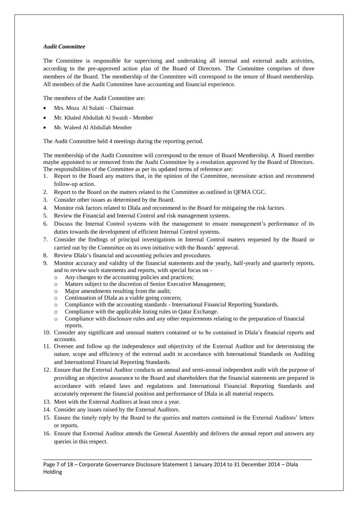# *Audit Committee*

The Committee is responsible for supervising and undertaking all internal and external audit activities, according to the pre-approved action plan of the Board of Directors. The Committee comprises of three members of the Board. The membership of the Committee will correspond to the tenure of Board membership. All members of the Audit Committee have accounting and financial experience.

The members of the Audit Committee are:

- Mrs. Moza Al Sulaiti Chairman
- Mr. Khaled Abdullah Al Swaidi Member
- Mr. Waleed Al Abdullah Member

The Audit Committee held 4 meetings during the reporting period.

The membership of the Audit Committee will correspond to the tenure of Board Membership. A Board member maybe appointed to or removed from the Audit Committee by a resolution approved by the Board of Directors. The responsibilities of the Committee as per its updated terms of reference are:

- 1. Report to the Board any matters that, in the opinion of the Committee, necessitate action and recommend follow-up action.
- 2. Report to the Board on the matters related to the Committee as outlined in QFMA CGC.
- 3. Consider other issues as determined by the Board.
- 4. Monitor risk factors related to Dlala and recommend to the Board for mitigating the risk factors.
- 5. Review the Financial and Internal Control and risk management systems.
- 6. Discuss the Internal Control systems with the management to ensure management's performance of its duties towards the development of efficient Internal Control systems.
- 7. Consider the findings of principal investigations in Internal Control matters requested by the Board or carried out by the Committee on its own initiative with the Boards' approval.
- 8. Review Dlala's financial and accounting policies and procedures.
- 9. Monitor accuracy and validity of the financial statements and the yearly, half-yearly and quarterly reports, and to review such statements and reports, with special focus on
	- o Any changes to the accounting policies and practices;
	- o Matters subject to the discretion of Senior Executive Management;
	- o Major amendments resulting from the audit;
	- o Continuation of Dlala as a viable going concern;
	- o Compliance with the accounting standards International Financial Reporting Standards.
	- o Compliance with the applicable listing rules in Qatar Exchange.
	- o Compliance with disclosure rules and any other requirements relating to the preparation of financial reports.
- 10. Consider any significant and unusual matters contained or to be contained in Dlala's financial reports and accounts.
- 11. Oversee and follow up the independence and objectivity of the External Auditor and for determining the nature, scope and efficiency of the external audit in accordance with International Standards on Auditing and International Financial Reporting Standards.
- 12. Ensure that the External Auditor conducts an annual and semi-annual independent audit with the purpose of providing an objective assurance to the Board and shareholders that the financial statements are prepared in accordance with related laws and regulations and International Financial Reporting Standards and accurately represent the financial position and performance of Dlala in all material respects.
- 13. Meet with the External Auditors at least once a year.
- 14. Consider any issues raised by the External Auditors.
- 15. Ensure the timely reply by the Board to the queries and matters contained in the External Auditors' letters or reports.
- 16. Ensure that External Auditor attends the General Assembly and delivers the annual report and answers any queries in this respect.

\_\_\_\_\_\_\_\_\_\_\_\_\_\_\_\_\_\_\_\_\_\_\_\_\_\_\_\_\_\_\_\_\_\_\_\_\_\_\_\_\_\_\_\_\_\_\_\_\_\_\_\_\_\_\_\_\_\_\_\_\_\_\_\_\_\_\_\_\_\_\_\_\_\_\_\_\_\_\_\_\_\_\_\_\_\_\_\_\_\_ Page 7 of 18 – Corporate Governance Disclosure Statement 1 January 2014 to 31 December 2014 – Dlala Holding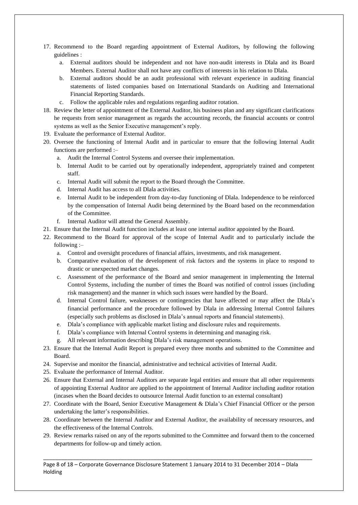- 17. Recommend to the Board regarding appointment of External Auditors, by following the following guidelines :
	- a. External auditors should be independent and not have non-audit interests in Dlala and its Board Members. External Auditor shall not have any conflicts of interests in his relation to Dlala.
	- b. External auditors should be an audit professional with relevant experience in auditing financial statements of listed companies based on International Standards on Auditing and International Financial Reporting Standards.
	- c. Follow the applicable rules and regulations regarding auditor rotation.
- 18. Review the letter of appointment of the External Auditor, his business plan and any significant clarifications he requests from senior management as regards the accounting records, the financial accounts or control systems as well as the Senior Executive management's reply.
- 19. Evaluate the performance of External Auditor.
- 20. Oversee the functioning of Internal Audit and in particular to ensure that the following Internal Audit functions are performed :–
	- a. Audit the Internal Control Systems and oversee their implementation.
	- b. Internal Audit to be carried out by operationally independent, appropriately trained and competent staff.
	- c. Internal Audit will submit the report to the Board through the Committee.
	- d. Internal Audit has access to all Dlala activities.
	- e. Internal Audit to be independent from day-to-day functioning of Dlala. Independence to be reinforced by the compensation of Internal Audit being determined by the Board based on the recommendation of the Committee.
	- f. Internal Auditor will attend the General Assembly.
- 21. Ensure that the Internal Audit function includes at least one internal auditor appointed by the Board.
- 22. Recommend to the Board for approval of the scope of Internal Audit and to particularly include the following :–
	- a. Control and oversight procedures of financial affairs, investments, and risk management.
	- b. Comparative evaluation of the development of risk factors and the systems in place to respond to drastic or unexpected market changes.
	- c. Assessment of the performance of the Board and senior management in implementing the Internal Control Systems, including the number of times the Board was notified of control issues (including risk management) and the manner in which such issues were handled by the Board.
	- d. Internal Control failure, weaknesses or contingencies that have affected or may affect the Dlala's financial performance and the procedure followed by Dlala in addressing Internal Control failures (especially such problems as disclosed in Dlala's annual reports and financial statements).
	- e. Dlala's compliance with applicable market listing and disclosure rules and requirements.
	- f. Dlala's compliance with Internal Control systems in determining and managing risk.
	- g. All relevant information describing Dlala's risk management operations.
- 23. Ensure that the Internal Audit Report is prepared every three months and submitted to the Committee and Board.
- 24. Supervise and monitor the financial, administrative and technical activities of Internal Audit.
- 25. Evaluate the performance of Internal Auditor.
- 26. Ensure that External and Internal Auditors are separate legal entities and ensure that all other requirements of appointing External Auditor are applied to the appointment of Internal Auditor including auditor rotation (incases when the Board decides to outsource Internal Audit function to an external consultant)
- 27. Coordinate with the Board, Senior Executive Management & Dlala's Chief Financial Officer or the person undertaking the latter's responsibilities.
- 28. Coordinate between the Internal Auditor and External Auditor, the availability of necessary resources, and the effectiveness of the Internal Controls.
- 29. Review remarks raised on any of the reports submitted to the Committee and forward them to the concerned departments for follow-up and timely action.

\_\_\_\_\_\_\_\_\_\_\_\_\_\_\_\_\_\_\_\_\_\_\_\_\_\_\_\_\_\_\_\_\_\_\_\_\_\_\_\_\_\_\_\_\_\_\_\_\_\_\_\_\_\_\_\_\_\_\_\_\_\_\_\_\_\_\_\_\_\_\_\_\_\_\_\_\_\_\_\_\_\_\_\_\_\_\_\_\_\_ Page 8 of 18 – Corporate Governance Disclosure Statement 1 January 2014 to 31 December 2014 – Dlala Holding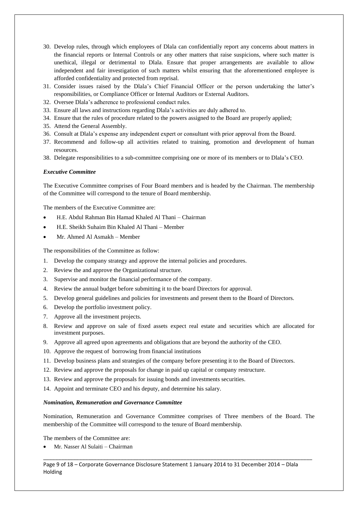- 30. Develop rules, through which employees of Dlala can confidentially report any concerns about matters in the financial reports or Internal Controls or any other matters that raise suspicions, where such matter is unethical, illegal or detrimental to Dlala. Ensure that proper arrangements are available to allow independent and fair investigation of such matters whilst ensuring that the aforementioned employee is afforded confidentiality and protected from reprisal.
- 31. Consider issues raised by the Dlala's Chief Financial Officer or the person undertaking the latter's responsibilities, or Compliance Officer or Internal Auditors or External Auditors.
- 32. Oversee Dlala's adherence to professional conduct rules.
- 33. Ensure all laws and instructions regarding Dlala's activities are duly adhered to.
- 34. Ensure that the rules of procedure related to the powers assigned to the Board are properly applied;
- 35. Attend the General Assembly.
- 36. Consult at Dlala's expense any independent expert or consultant with prior approval from the Board.
- 37. Recommend and follow-up all activities related to training, promotion and development of human resources.
- 38. Delegate responsibilities to a sub-committee comprising one or more of its members or to Dlala's CEO.

#### *Executive Committee*

The Executive Committee comprises of Four Board members and is headed by the Chairman. The membership of the Committee will correspond to the tenure of Board membership.

The members of the Executive Committee are:

- H.E. Abdul Rahman Bin Hamad Khaled Al Thani Chairman
- H.E. Sheikh Suhaim Bin Khaled Al Thani Member
- Mr. Ahmed Al Asmakh Member

The responsibilities of the Committee as follow:

- 1. Develop the company strategy and approve the internal policies and procedures.
- 2. Review the and approve the Organizational structure.
- 3. Supervise and monitor the financial performance of the company.
- 4. Review the annual budget before submitting it to the board Directors for approval.
- 5. Develop general guidelines and policies for investments and present them to the Board of Directors.
- 6. Develop the portfolio investment policy.
- 7. Approve all the investment projects.
- 8. Review and approve on sale of fixed assets expect real estate and securities which are allocated for investment purposes.
- 9. Approve all agreed upon agreements and obligations that are beyond the authority of the CEO.
- 10. Approve the request of borrowing from financial institutions
- 11. Develop business plans and strategies of the company before presenting it to the Board of Directors.
- 12. Review and approve the proposals for change in paid up capital or company restructure.
- 13. Review and approve the proposals for issuing bonds and investments securities.
- 14. Appoint and terminate CEO and his deputy, and determine his salary.

#### *Nomination, Remuneration and Governance Committee*

Nomination, Remuneration and Governance Committee comprises of Three members of the Board. The membership of the Committee will correspond to the tenure of Board membership.

The members of the Committee are:

Mr. Nasser Al Sulaiti – Chairman

Page 9 of 18 – Corporate Governance Disclosure Statement 1 January 2014 to 31 December 2014 – Dlala Holding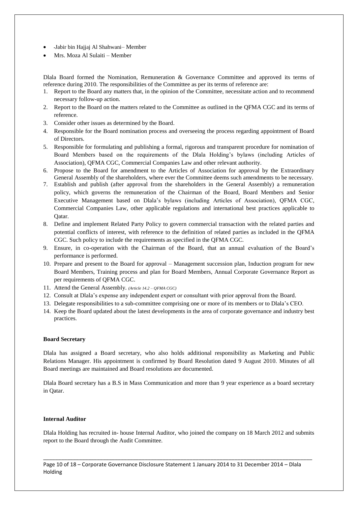- ـJabir bin Hajjaj Al Shahwani– Member
- Mrs. Moza Al Sulaiti Member

Dlala Board formed the Nomination, Remuneration & Governance Committee and approved its terms of reference during 2010. The responsibilities of the Committee as per its terms of reference are:

- 1. Report to the Board any matters that, in the opinion of the Committee, necessitate action and to recommend necessary follow-up action.
- 2. Report to the Board on the matters related to the Committee as outlined in the QFMA CGC and its terms of reference.
- 3. Consider other issues as determined by the Board.
- 4. Responsible for the Board nomination process and overseeing the process regarding appointment of Board of Directors.
- 5. Responsible for formulating and publishing a formal, rigorous and transparent procedure for nomination of Board Members based on the requirements of the Dlala Holding's bylaws (including Articles of Association), QFMA CGC, Commercial Companies Law and other relevant authority.
- 6. Propose to the Board for amendment to the Articles of Association for approval by the Extraordinary General Assembly of the shareholders, where ever the Committee deems such amendments to be necessary.
- 7. Establish and publish (after approval from the shareholders in the General Assembly) a remuneration policy, which governs the remuneration of the Chairman of the Board, Board Members and Senior Executive Management based on Dlala's bylaws (including Articles of Association), QFMA CGC, Commercial Companies Law, other applicable regulations and international best practices applicable to Qatar.
- 8. Define and implement Related Party Policy to govern commercial transaction with the related parties and potential conflicts of interest, with reference to the definition of related parties as included in the QFMA CGC. Such policy to include the requirements as specified in the QFMA CGC.
- 9. Ensure, in co-operation with the Chairman of the Board, that an annual evaluation of the Board's performance is performed.
- 10. Prepare and present to the Board for approval Management succession plan, Induction program for new Board Members, Training process and plan for Board Members, Annual Corporate Governance Report as per requirements of QFMA CGC.
- 11. Attend the General Assembly. *(Article 14.2 – QFMA CGC)*
- 12. Consult at Dlala's expense any independent expert or consultant with prior approval from the Board.
- 13. Delegate responsibilities to a sub-committee comprising one or more of its members or to Dlala's CEO.
- 14. Keep the Board updated about the latest developments in the area of corporate governance and industry best practices.

#### **Board Secretary**

Dlala has assigned a Board secretary, who also holds additional responsibility as Marketing and Public Relations Manager. His appointment is confirmed by Board Resolution dated 9 August 2010. Minutes of all Board meetings are maintained and Board resolutions are documented.

Dlala Board secretary has a B.S in Mass Communication and more than 9 year experience as a board secretary in Qatar.

#### **Internal Auditor**

Dlala Holding has recruited in- house Internal Auditor, who joined the company on 18 March 2012 and submits report to the Board through the Audit Committee.

\_\_\_\_\_\_\_\_\_\_\_\_\_\_\_\_\_\_\_\_\_\_\_\_\_\_\_\_\_\_\_\_\_\_\_\_\_\_\_\_\_\_\_\_\_\_\_\_\_\_\_\_\_\_\_\_\_\_\_\_\_\_\_\_\_\_\_\_\_\_\_\_\_\_\_\_\_\_\_\_\_\_\_\_\_\_\_\_\_\_

Page 10 of 18 – Corporate Governance Disclosure Statement 1 January 2014 to 31 December 2014 – Dlala Holding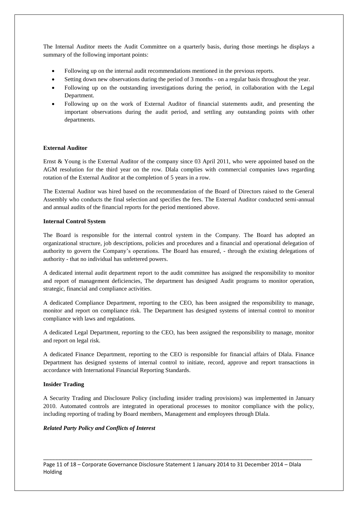The Internal Auditor meets the Audit Committee on a quarterly basis, during those meetings he displays a summary of the following important points:

- Following up on the internal audit recommendations mentioned in the previous reports.
- Setting down new observations during the period of 3 months on a regular basis throughout the year.
- Following up on the outstanding investigations during the period, in collaboration with the Legal Department.
- Following up on the work of External Auditor of financial statements audit, and presenting the important observations during the audit period, and settling any outstanding points with other departments.

# **External Auditor**

Ernst & Young is the External Auditor of the company since 03 April 2011, who were appointed based on the AGM resolution for the third year on the row. Dlala complies with commercial companies laws regarding rotation of the External Auditor at the completion of 5 years in a row.

The External Auditor was hired based on the recommendation of the Board of Directors raised to the General Assembly who conducts the final selection and specifies the fees. The External Auditor conducted semi-annual and annual audits of the financial reports for the period mentioned above.

#### **Internal Control System**

The Board is responsible for the internal control system in the Company. The Board has adopted an organizational structure, job descriptions, policies and procedures and a financial and operational delegation of authority to govern the Company's operations. The Board has ensured, - through the existing delegations of authority - that no individual has unfettered powers.

A dedicated internal audit department report to the audit committee has assigned the responsibility to monitor and report of management deficiencies, The department has designed Audit programs to monitor operation, strategic, financial and compliance activities.

A dedicated Compliance Department, reporting to the CEO, has been assigned the responsibility to manage, monitor and report on compliance risk. The Department has designed systems of internal control to monitor compliance with laws and regulations.

A dedicated Legal Department, reporting to the CEO, has been assigned the responsibility to manage, monitor and report on legal risk.

A dedicated Finance Department, reporting to the CEO is responsible for financial affairs of Dlala. Finance Department has designed systems of internal control to initiate, record, approve and report transactions in accordance with International Financial Reporting Standards.

#### **Insider Trading**

A Security Trading and Disclosure Policy (including insider trading provisions) was implemented in January 2010. Automated controls are integrated in operational processes to monitor compliance with the policy, including reporting of trading by Board members, Management and employees through Dlala.

#### *Related Party Policy and Conflicts of Interest*

Page 11 of 18 – Corporate Governance Disclosure Statement 1 January 2014 to 31 December 2014 – Dlala Holding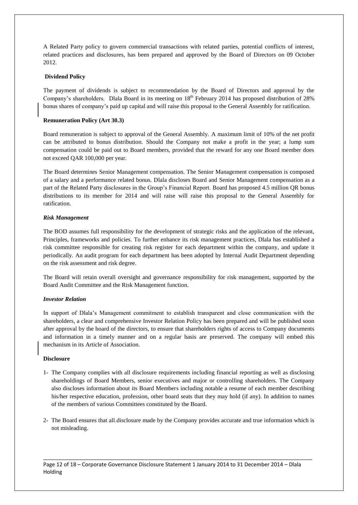A Related Party policy to govern commercial transactions with related parties, potential conflicts of interest, related practices and disclosures, has been prepared and approved by the Board of Directors on 09 October 2012.

# **Dividend Policy**

The payment of dividends is subject to recommendation by the Board of Directors and approval by the Company's shareholders. Dlala Board in its meeting on 18<sup>th</sup> February 2014 has proposed distribution of 28% bonus shares of company's paid up capital and will raise this proposal to the General Assembly for ratification.

## **Remuneration Policy (Art 30.3)**

Board remuneration is subject to approval of the General Assembly. A maximum limit of 10% of the net profit can be attributed to bonus distribution. Should the Company not make a profit in the year; a lump sum compensation could be paid out to Board members, provided that the reward for any one Board member does not exceed QAR 100,000 per year.

The Board determines Senior Management compensation. The Senior Management compensation is composed of a salary and a performance related bonus. Dlala discloses Board and Senior Management compensation as a part of the Related Party disclosures in the Group's Financial Report. Board has proposed 4.5 million QR bonus distributions to its member for 2014 and will raise will raise this proposal to the General Assembly for ratification.

# *Risk Management*

The BOD assumes full responsibility for the development of strategic risks and the application of the relevant, Principles, frameworks and policies. To further enhance its risk management practices, Dlala has established a risk committee responsible for creating risk register for each department within the company, and update it periodically. An audit program for each department has been adopted by Internal Audit Department depending on the risk assessment and risk degree.

The Board will retain overall oversight and governance responsibility for risk management, supported by the Board Audit Committee and the Risk Management function.

#### *Investor Relation*

In support of Dlala's Management commitment to establish transparent and close communication with the shareholders, a clear and comprehensive Investor Relation Policy has been prepared and will be published soon after approval by the board of the directors, to ensure that shareholders rights of access to Company documents and information in a timely manner and on a regular basis are preserved. The company will embed this mechanism in its Article of Association.

## **Disclosure**

- 1- The Company complies with all disclosure requirements including financial reporting as well as disclosing shareholdings of Board Members, senior executives and major or controlling shareholders. The Company also discloses information about its Board Members including notable a resume of each member describing his/her respective education, profession, other board seats that they may hold (if any). In addition to names of the members of various Committees constituted by the Board.
- 2- The Board ensures that all.disclosure made by the Company provides accurate and true information which is not misleading.

\_\_\_\_\_\_\_\_\_\_\_\_\_\_\_\_\_\_\_\_\_\_\_\_\_\_\_\_\_\_\_\_\_\_\_\_\_\_\_\_\_\_\_\_\_\_\_\_\_\_\_\_\_\_\_\_\_\_\_\_\_\_\_\_\_\_\_\_\_\_\_\_\_\_\_\_\_\_\_\_\_\_\_\_\_\_\_\_\_\_ Page 12 of 18 – Corporate Governance Disclosure Statement 1 January 2014 to 31 December 2014 – Dlala Holding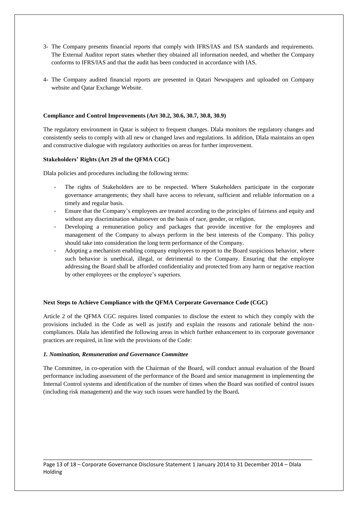- 3- The Company presents financial reports that comply with IFRS/IAS and ISA standards and requirements. The External Auditor report states whether they obtained all information needed, and whether the Company conforms to IFRS/IAS and that the audit has been conducted in accordance with IAS.
- 4- The Company audited financial reports are presented in Qatari Newspapers and uploaded on Company website and Qatar Exchange Website.

#### **Compliance and Control Improvements (Art 30.2, 30.6, 30.7, 30.8, 30.9)**

The regulatory environment in Qatar is subject to frequent changes. Dlala monitors the regulatory changes and consistently seeks to comply with all new or changed laws and regulations. In addition, Dlala maintains an open and constructive dialogue with regulatory authorities on areas for further improvement.

# **Stakeholders'Rights (Art 29 of the QFMA CGC)**

Dlala policies and procedures including the following terms:

- The rights of Stakeholders are to be respected. Where Stakeholders participate in the corporate governance arrangements; they shall have access to relevant, sufficient and reliable information on a timely and regular basis.
- Ensure that the Company's employees are treated according to the principles of fairness and equity and without any discrimination whatsoever on the basis of race, gender, or religion.
- Developing a remuneration policy and packages that provide incentive for the employees and management of the Company to always perform in the best interests of the Company. This policy should take into consideration the long term performance of the Company.
- Adopting a mechanism enabling company employees to report to the Board suspicious behavior, where such behavior is unethical, illegal, or detrimental to the Company. Ensuring that the employee addressing the Board shall be afforded confidentiality and protected from any harm or negative reaction by other employees or the employee's superiors.

#### **Next Steps to Achieve Compliance with the QFMA Corporate Governance Code (CGC)**

Article 2 of the QFMA CGC requires listed companies to disclose the extent to which they comply with the provisions included in the Code as well as justify and explain the reasons and rationale behind the noncompliances. Dlala has identified the following areas in which further enhancement to its corporate governance practices are required, in line with the provisions of the Code:

#### *1. Nomination, Remuneration and Governance Committee*

The Committee, in co-operation with the Chairman of the Board, will conduct annual evaluation of the Board performance including assessment of the performance of the Board and senior management in implementing the Internal Control systems and identification of the number of times when the Board was notified of control issues (including risk management) and the way such issues were handled by the Board**.**